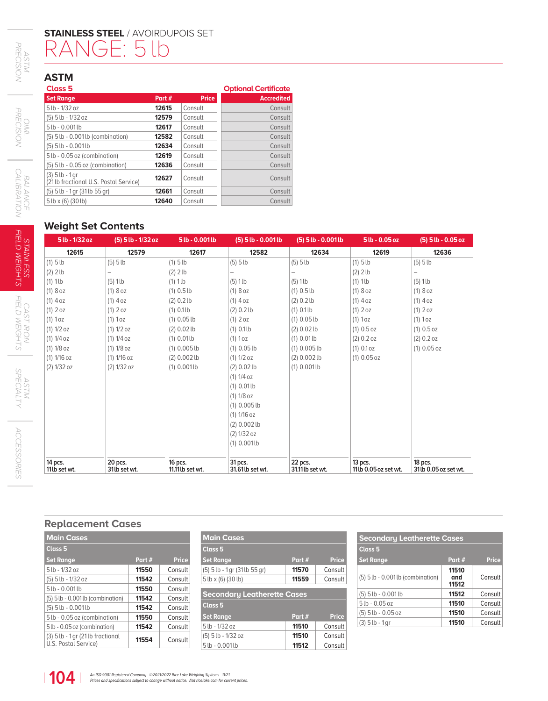# **STAINLESS STEEL** / AVOIRDUPOIS SET RANGE: 5 lb

## **ASTM**

| Class <sub>5</sub>                                         |        |              | <b>Optional Certificate</b> |  |
|------------------------------------------------------------|--------|--------------|-----------------------------|--|
| <b>Set Range</b>                                           | Part # | <b>Price</b> | <b>Accredited</b>           |  |
| $5$ lb - $1/32$ oz                                         | 12615  | Consult      | Consult                     |  |
| (5) 5 lb - 1/32 oz                                         | 12579  | Consult      | Consult                     |  |
| $5$ lb - 0.001lb                                           | 12617  | Consult      | Consult                     |  |
| $(5)$ 5 lb - 0.001 lb (combination)                        | 12582  | Consult      | Consult                     |  |
| $(5)$ 5 lb - 0.001 lb                                      | 12634  | Consult      | Consult                     |  |
| 5 lb - 0.05 oz (combination)                               | 12619  | Consult      | Consult                     |  |
| $(5)$ 5 lb - 0.05 oz (combination)                         | 12636  | Consult      | Consult                     |  |
| $(3)$ 5 lb - 1 gr<br>(21lb fractional U.S. Postal Service) | 12627  | Consult      | Consult                     |  |
| (5) 5 lb - 1 gr (31 lb 55 gr)                              | 12661  | Consult      | Consult                     |  |
| $5$ lb x (6) (30 lb)                                       | 12640  | Consult      | Consult                     |  |

### **Weight Set Contents**

| 5 lb - 1/32 oz | (5) 5 lb - 1/32 oz | 5 lb - 0.001 lb  | $(5)$ 5 lb - 0.001 lb | $(5)$ 5 lb - 0.001 lb | $5lb - 0.05oz$       | (5) 5 lb - 0.05 oz   |
|----------------|--------------------|------------------|-----------------------|-----------------------|----------------------|----------------------|
| 12615          | 12579              | 12617            | 12582                 | 12634                 | 12619                | 12636                |
| $(1)$ 5 lb     | $(5)$ 5 lb         | $(1)$ 5 lb       | $(5)$ 5 lb            | $(5)$ 5 lb            | $(1)$ 5 lb           | $(5)$ 5 lb           |
| $(2)$ 2 lb     |                    | $(2)$ 2 lb       |                       |                       | $(2)$ 2 lb           |                      |
| $(1)$ 1lb      | $(5)$ 1 lb         | $(1)$ 1lb        | $(5)$ 1lb             | $(5)$ 1lb             | $(1)$ 1lb            | $(5)$ 1 lb           |
| (1)8oz         | (1)8oz             | $(1)$ 0.5 lb     | $(1)8$ oz             | $(1)$ 0.5 lb          | (1)8oz               | $(1)8$ oz            |
| $(1)$ 4 oz     | $(1)$ 4 oz         | (2) 0.2 lb       | $(1)$ 4 oz            | (2) 0.2 lb            | $(1)$ 4 oz           | $(1)$ 4 oz           |
| $(1)$ 2 oz     | $(1)$ 2 oz         | $(1) 0.1$ lb     | (2) 0.2 lb            | $(1) 0.1$ lb          | $(1)$ 2 oz           | $(1)$ 2 oz           |
| $(1)$ 1 oz     | $(1)$ 1 oz         | $(1)$ 0.05 lb    | $(1)$ 2 oz            | $(1)$ 0.05 lb         | (1) 1oz              | (1) 1oz              |
| (1) 1/2 oz     | (1) 1/2 oz         | $(2) 0.02$ lb    | $(1) 0.1$ lb          | $(2) 0.02$ lb         | (1) 0.5 oz           | $(1) 0.5$ oz         |
| (1) 1/4 oz     | (1) 1/4 oz         | $(1) 0.01$ lb    | (1) 1oz               | $(1) 0.01$ lb         | (2) 0.2 oz           | (2) 0.2 oz           |
| $(1) 1/8$ oz   | $(1) 1/8$ oz       | $(1)$ 0.005 lb   | $(1)$ 0.05 lb         | $(1)$ 0.005 lb        | (1) 0.1 oz           | $(1)$ 0.05 oz        |
| $(1) 1/16$ oz  | (1) 1/16 oz        | $(2)$ 0.002 lb   | (1) 1/2 oz            | $(2) 0.002$ lb        | $(1) 0.05$ oz        |                      |
| (2) 1/32 oz    | (2) 1/32 oz        | $(1) 0.001$ lb   | $(2) 0.02$ lb         | $(1) 0.001$ lb        |                      |                      |
|                |                    |                  | (1) 1/4 oz            |                       |                      |                      |
|                |                    |                  | $(1) 0.01$ lb         |                       |                      |                      |
|                |                    |                  | (1) 1/8 oz            |                       |                      |                      |
|                |                    |                  | $(1)$ 0.005 lb        |                       |                      |                      |
|                |                    |                  | (1) 1/16 oz           |                       |                      |                      |
|                |                    |                  | $(2) 0.002$ lb        |                       |                      |                      |
|                |                    |                  | (2) 1/32 oz           |                       |                      |                      |
|                |                    |                  | $(1) 0.001$ lb        |                       |                      |                      |
| 14 pcs.        | 20 pcs.            | 16 pcs.          | 31 pcs.               | 22 pcs.               | $13$ pcs.            | 18 pcs.              |
| 11 lb set wt.  | 31 lb set wt.      | 11.11 lb set wt. | 31.61lb set wt.       | 31.11 lb set wt.      | 11lb 0.05 oz set wt. | 31lb 0.05 oz set wt. |

### **Replacement Cases**

| <b>Main Cases</b><br><b>Class 5</b><br><b>Price</b><br>Part #<br><b>Set Range</b><br>5 lb - 1/32 oz<br>11550<br>Consult<br>(5) 5 lb - 1/32 oz<br>11542<br>Consult<br>5 lb - 0.001 lb<br>11550<br>Consult<br>(5) 5 lb - 0.001 lb (combination)<br>11542<br>Consult<br>$(5)$ 5 lb - 0.001 lb<br>11542<br>Consult<br>5 lb - 0.05 oz (combination)<br>11550<br>Consult<br>5 lb - 0.05 oz (combination)<br>11542<br>Consult<br>$(3)$ 5 lb - 1 gr $(21$ lb fractional<br>11554<br>Consult<br>U.S. Postal Service) |  |  |  |  |  |  |
|-------------------------------------------------------------------------------------------------------------------------------------------------------------------------------------------------------------------------------------------------------------------------------------------------------------------------------------------------------------------------------------------------------------------------------------------------------------------------------------------------------------|--|--|--|--|--|--|
|                                                                                                                                                                                                                                                                                                                                                                                                                                                                                                             |  |  |  |  |  |  |
|                                                                                                                                                                                                                                                                                                                                                                                                                                                                                                             |  |  |  |  |  |  |
|                                                                                                                                                                                                                                                                                                                                                                                                                                                                                                             |  |  |  |  |  |  |
|                                                                                                                                                                                                                                                                                                                                                                                                                                                                                                             |  |  |  |  |  |  |
|                                                                                                                                                                                                                                                                                                                                                                                                                                                                                                             |  |  |  |  |  |  |
|                                                                                                                                                                                                                                                                                                                                                                                                                                                                                                             |  |  |  |  |  |  |
|                                                                                                                                                                                                                                                                                                                                                                                                                                                                                                             |  |  |  |  |  |  |
|                                                                                                                                                                                                                                                                                                                                                                                                                                                                                                             |  |  |  |  |  |  |
|                                                                                                                                                                                                                                                                                                                                                                                                                                                                                                             |  |  |  |  |  |  |
|                                                                                                                                                                                                                                                                                                                                                                                                                                                                                                             |  |  |  |  |  |  |
|                                                                                                                                                                                                                                                                                                                                                                                                                                                                                                             |  |  |  |  |  |  |

| <b>Main Cases</b>                                    |        |              |  |  |
|------------------------------------------------------|--------|--------------|--|--|
| Class <sub>5</sub>                                   |        |              |  |  |
| <b>Set Range</b>                                     | Part # | <b>Price</b> |  |  |
| (5) 5 lb - 1 gr (31 lb 55 gr)                        | 11570  | Consult      |  |  |
| $5$ lb x (6) (30 lb)                                 | 11559  | Consult      |  |  |
| <b>Secondary Leatherette Cases</b><br><b>Class 5</b> |        |              |  |  |
| <b>Set Range</b>                                     | Part # | <b>Price</b> |  |  |
| 5 lb - 1/32 oz                                       | 11510  | Consult      |  |  |
| (5) 5 lb - 1/32 oz                                   | 11510  | Consult      |  |  |
|                                                      | 11512  | Consult      |  |  |

| <b>Secondary Leatherette Cases</b> |                       |              |  |  |  |
|------------------------------------|-----------------------|--------------|--|--|--|
| Class <sub>5</sub>                 |                       |              |  |  |  |
| <b>Set Range</b>                   | Part #                | <b>Price</b> |  |  |  |
| (5) 5 lb - 0.001 lb (combination)  | 11510<br>and<br>11512 | Consult      |  |  |  |
| $(5)$ 5 lb - 0.001 lb              | 11512                 | Consult      |  |  |  |
| $5$ lb - 0.05 oz                   | 11510                 | Consult      |  |  |  |
| $(5)$ 5 lb - 0.05 oz               | 11510                 | Consult      |  |  |  |
| $(3)$ 5 lb - 1 gr                  | 11510                 | Consult      |  |  |  |

*OIML*<br>PRECISION *PRECISION*